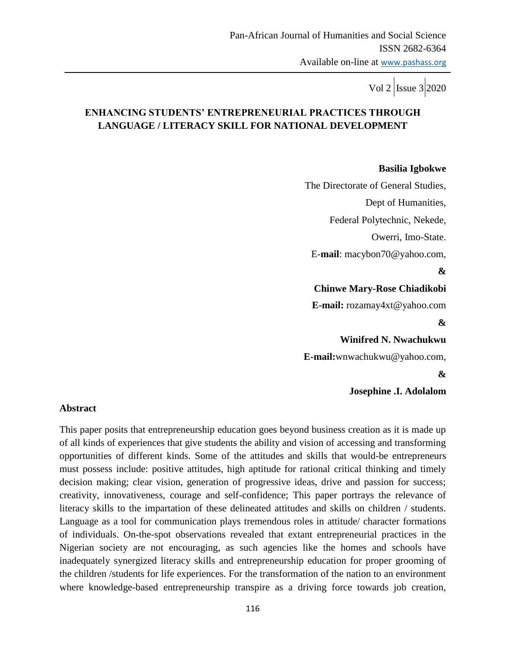Vol 2  $\vert$  Issue 3 2020

# **ENHANCING STUDENTS' ENTREPRENEURIAL PRACTICES THROUGH LANGUAGE / LITERACY SKILL FOR NATIONAL DEVELOPMENT**

#### **Basilia Igbokwe**

 The Directorate of General Studies, Dept of Humanities, Federal Polytechnic, Nekede, Owerri, Imo-State. E-**mail**: macybon70@yahoo.com, **& Chinwe Mary-Rose Chiadikobi E-mail:** rozamay4xt@yahoo.com **& Winifred N. Nwachukwu E-mail:**wnwachukwu@yahoo.com, **& Josephine .I. Adolalom** 

#### **Abstract**

This paper posits that entrepreneurship education goes beyond business creation as it is made up of all kinds of experiences that give students the ability and vision of accessing and transforming opportunities of different kinds. Some of the attitudes and skills that would-be entrepreneurs must possess include: positive attitudes, high aptitude for rational critical thinking and timely decision making; clear vision, generation of progressive ideas, drive and passion for success; creativity, innovativeness, courage and self-confidence; This paper portrays the relevance of literacy skills to the impartation of these delineated attitudes and skills on children / students. Language as a tool for communication plays tremendous roles in attitude/ character formations of individuals. On-the-spot observations revealed that extant entrepreneurial practices in the Nigerian society are not encouraging, as such agencies like the homes and schools have inadequately synergized literacy skills and entrepreneurship education for proper grooming of the children /students for life experiences. For the transformation of the nation to an environment where knowledge-based entrepreneurship transpire as a driving force towards job creation,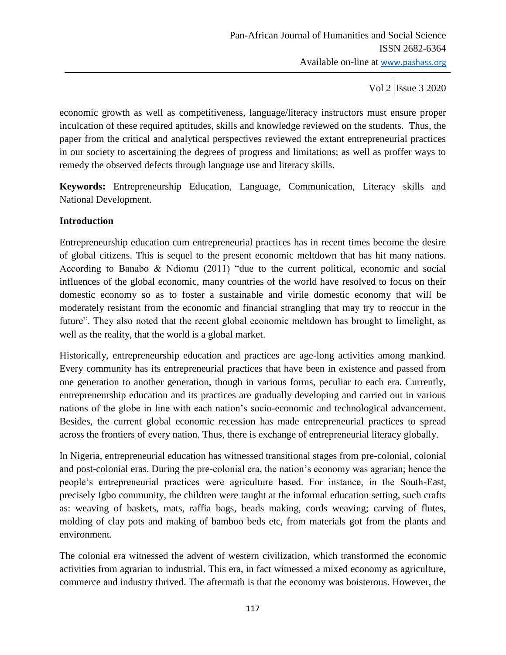economic growth as well as competitiveness, language/literacy instructors must ensure proper inculcation of these required aptitudes, skills and knowledge reviewed on the students. Thus, the paper from the critical and analytical perspectives reviewed the extant entrepreneurial practices in our society to ascertaining the degrees of progress and limitations; as well as proffer ways to remedy the observed defects through language use and literacy skills.

**Keywords:** Entrepreneurship Education, Language, Communication, Literacy skills and National Development.

### **Introduction**

Entrepreneurship education cum entrepreneurial practices has in recent times become the desire of global citizens. This is sequel to the present economic meltdown that has hit many nations. According to Banabo & Ndiomu (2011) "due to the current political, economic and social influences of the global economic, many countries of the world have resolved to focus on their domestic economy so as to foster a sustainable and virile domestic economy that will be moderately resistant from the economic and financial strangling that may try to reoccur in the future". They also noted that the recent global economic meltdown has brought to limelight, as well as the reality, that the world is a global market.

Historically, entrepreneurship education and practices are age-long activities among mankind. Every community has its entrepreneurial practices that have been in existence and passed from one generation to another generation, though in various forms, peculiar to each era. Currently, entrepreneurship education and its practices are gradually developing and carried out in various nations of the globe in line with each nation"s socio-economic and technological advancement. Besides, the current global economic recession has made entrepreneurial practices to spread across the frontiers of every nation. Thus, there is exchange of entrepreneurial literacy globally.

In Nigeria, entrepreneurial education has witnessed transitional stages from pre-colonial, colonial and post-colonial eras. During the pre-colonial era, the nation"s economy was agrarian; hence the people"s entrepreneurial practices were agriculture based. For instance, in the South-East, precisely Igbo community, the children were taught at the informal education setting, such crafts as: weaving of baskets, mats, raffia bags, beads making, cords weaving; carving of flutes, molding of clay pots and making of bamboo beds etc, from materials got from the plants and environment.

The colonial era witnessed the advent of western civilization, which transformed the economic activities from agrarian to industrial. This era, in fact witnessed a mixed economy as agriculture, commerce and industry thrived. The aftermath is that the economy was boisterous. However, the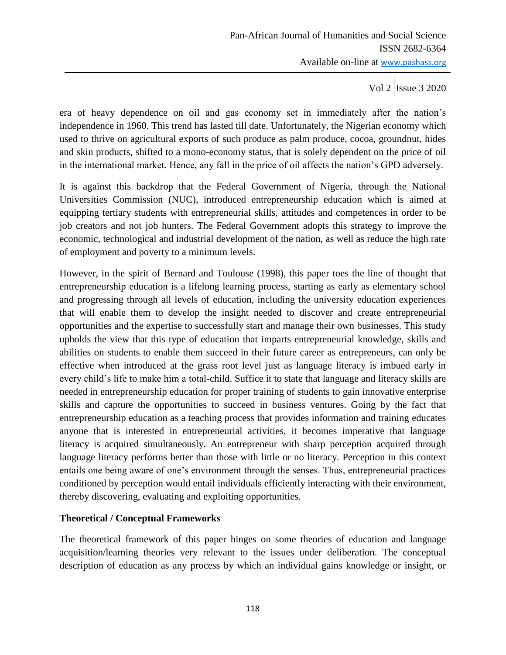Vol 2  $\vert$  Issue 3 2020

era of heavy dependence on oil and gas economy set in immediately after the nation"s independence in 1960. This trend has lasted till date. Unfortunately, the Nigerian economy which used to thrive on agricultural exports of such produce as palm produce, cocoa, groundnut, hides and skin products, shifted to a mono-economy status, that is solely dependent on the price of oil in the international market. Hence, any fall in the price of oil affects the nation"s GPD adversely.

It is against this backdrop that the Federal Government of Nigeria, through the National Universities Commission (NUC), introduced entrepreneurship education which is aimed at equipping tertiary students with entrepreneurial skills, attitudes and competences in order to be job creators and not job hunters. The Federal Government adopts this strategy to improve the economic, technological and industrial development of the nation, as well as reduce the high rate of employment and poverty to a minimum levels.

However, in the spirit of Bernard and Toulouse (1998), this paper toes the line of thought that entrepreneurship education is a lifelong learning process, starting as early as elementary school and progressing through all levels of education, including the university education experiences that will enable them to develop the insight needed to discover and create entrepreneurial opportunities and the expertise to successfully start and manage their own businesses. This study upholds the view that this type of education that imparts entrepreneurial knowledge, skills and abilities on students to enable them succeed in their future career as entrepreneurs, can only be effective when introduced at the grass root level just as language literacy is imbued early in every child"s life to make him a total-child. Suffice it to state that language and literacy skills are needed in entrepreneurship education for proper training of students to gain innovative enterprise skills and capture the opportunities to succeed in business ventures. Going by the fact that entrepreneurship education as a teaching process that provides information and training educates anyone that is interested in entrepreneurial activities, it becomes imperative that language literacy is acquired simultaneously. An entrepreneur with sharp perception acquired through language literacy performs better than those with little or no literacy. Perception in this context entails one being aware of one's environment through the senses. Thus, entrepreneurial practices conditioned by perception would entail individuals efficiently interacting with their environment, thereby discovering, evaluating and exploiting opportunities.

### **Theoretical / Conceptual Frameworks**

The theoretical framework of this paper hinges on some theories of education and language acquisition/learning theories very relevant to the issues under deliberation. The conceptual description of education as any process by which an individual gains knowledge or insight, or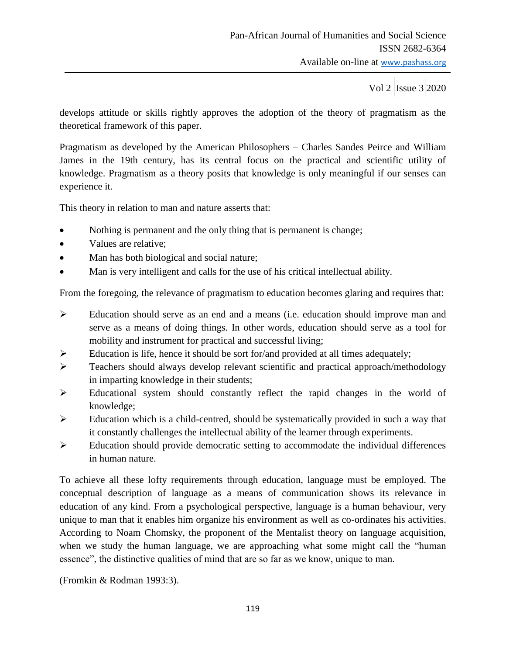develops attitude or skills rightly approves the adoption of the theory of pragmatism as the theoretical framework of this paper.

Pragmatism as developed by the American Philosophers – Charles Sandes Peirce and William James in the 19th century, has its central focus on the practical and scientific utility of knowledge. Pragmatism as a theory posits that knowledge is only meaningful if our senses can experience it.

This theory in relation to man and nature asserts that:

- Nothing is permanent and the only thing that is permanent is change;
- Values are relative;
- Man has both biological and social nature;
- Man is very intelligent and calls for the use of his critical intellectual ability.

From the foregoing, the relevance of pragmatism to education becomes glaring and requires that:

- Education should serve as an end and a means (i.e. education should improve man and serve as a means of doing things. In other words, education should serve as a tool for mobility and instrument for practical and successful living;
- $\triangleright$  Education is life, hence it should be sort for/and provided at all times adequately;
- Teachers should always develop relevant scientific and practical approach/methodology in imparting knowledge in their students;
- Educational system should constantly reflect the rapid changes in the world of knowledge;
- $\triangleright$  Education which is a child-centred, should be systematically provided in such a way that it constantly challenges the intellectual ability of the learner through experiments.
- Education should provide democratic setting to accommodate the individual differences in human nature.

To achieve all these lofty requirements through education, language must be employed. The conceptual description of language as a means of communication shows its relevance in education of any kind. From a psychological perspective, language is a human behaviour, very unique to man that it enables him organize his environment as well as co-ordinates his activities. According to Noam Chomsky, the proponent of the Mentalist theory on language acquisition, when we study the human language, we are approaching what some might call the "human essence", the distinctive qualities of mind that are so far as we know, unique to man.

(Fromkin & Rodman 1993:3).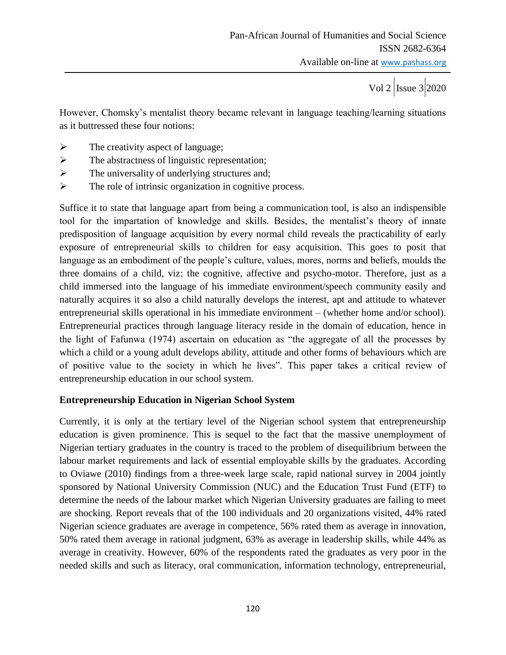Vol 2  $\vert$ Issue 3 2020

However, Chomsky's mentalist theory became relevant in language teaching/learning situations as it buttressed these four notions:

- $\triangleright$  The creativity aspect of language;
- $\triangleright$  The abstractness of linguistic representation;
- $\triangleright$  The universality of underlying structures and;
- $\triangleright$  The role of intrinsic organization in cognitive process.

Suffice it to state that language apart from being a communication tool, is also an indispensible tool for the impartation of knowledge and skills. Besides, the mentalist's theory of innate predisposition of language acquisition by every normal child reveals the practicability of early exposure of entrepreneurial skills to children for easy acquisition. This goes to posit that language as an embodiment of the people's culture, values, mores, norms and beliefs, moulds the three domains of a child, viz: the cognitive, affective and psycho-motor. Therefore, just as a child immersed into the language of his immediate environment/speech community easily and naturally acquires it so also a child naturally develops the interest, apt and attitude to whatever entrepreneurial skills operational in his immediate environment – (whether home and/or school). Entrepreneurial practices through language literacy reside in the domain of education, hence in the light of Fafunwa (1974) ascertain on education as "the aggregate of all the processes by which a child or a young adult develops ability, attitude and other forms of behaviours which are of positive value to the society in which he lives". This paper takes a critical review of entrepreneurship education in our school system.

### **Entrepreneurship Education in Nigerian School System**

Currently, it is only at the tertiary level of the Nigerian school system that entrepreneurship education is given prominence. This is sequel to the fact that the massive unemployment of Nigerian tertiary graduates in the country is traced to the problem of disequilibrium between the labour market requirements and lack of essential employable skills by the graduates. According to Oviawe (2010) findings from a three-week large scale, rapid national survey in 2004 jointly sponsored by National University Commission (NUC) and the Education Trust Fund (ETF) to determine the needs of the labour market which Nigerian University graduates are failing to meet are shocking. Report reveals that of the 100 individuals and 20 organizations visited, 44% rated Nigerian science graduates are average in competence, 56% rated them as average in innovation, 50% rated them average in rational judgment, 63% as average in leadership skills, while 44% as average in creativity. However, 60% of the respondents rated the graduates as very poor in the needed skills and such as literacy, oral communication, information technology, entrepreneurial,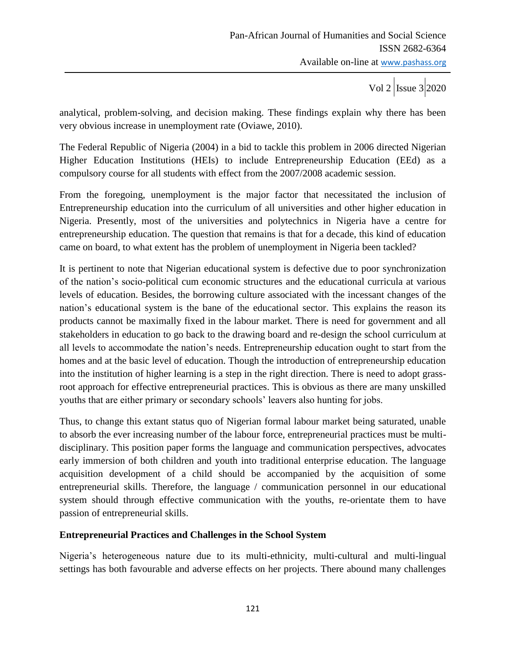Vol 2  $\vert$ Issue 3 2020

analytical, problem-solving, and decision making. These findings explain why there has been very obvious increase in unemployment rate (Oviawe, 2010).

The Federal Republic of Nigeria (2004) in a bid to tackle this problem in 2006 directed Nigerian Higher Education Institutions (HEIs) to include Entrepreneurship Education (EEd) as a compulsory course for all students with effect from the 2007/2008 academic session.

From the foregoing, unemployment is the major factor that necessitated the inclusion of Entrepreneurship education into the curriculum of all universities and other higher education in Nigeria. Presently, most of the universities and polytechnics in Nigeria have a centre for entrepreneurship education. The question that remains is that for a decade, this kind of education came on board, to what extent has the problem of unemployment in Nigeria been tackled?

It is pertinent to note that Nigerian educational system is defective due to poor synchronization of the nation"s socio-political cum economic structures and the educational curricula at various levels of education. Besides, the borrowing culture associated with the incessant changes of the nation"s educational system is the bane of the educational sector. This explains the reason its products cannot be maximally fixed in the labour market. There is need for government and all stakeholders in education to go back to the drawing board and re-design the school curriculum at all levels to accommodate the nation"s needs. Entrepreneurship education ought to start from the homes and at the basic level of education. Though the introduction of entrepreneurship education into the institution of higher learning is a step in the right direction. There is need to adopt grassroot approach for effective entrepreneurial practices. This is obvious as there are many unskilled youths that are either primary or secondary schools" leavers also hunting for jobs.

Thus, to change this extant status quo of Nigerian formal labour market being saturated, unable to absorb the ever increasing number of the labour force, entrepreneurial practices must be multidisciplinary. This position paper forms the language and communication perspectives, advocates early immersion of both children and youth into traditional enterprise education. The language acquisition development of a child should be accompanied by the acquisition of some entrepreneurial skills. Therefore, the language / communication personnel in our educational system should through effective communication with the youths, re-orientate them to have passion of entrepreneurial skills.

### **Entrepreneurial Practices and Challenges in the School System**

Nigeria"s heterogeneous nature due to its multi-ethnicity, multi-cultural and multi-lingual settings has both favourable and adverse effects on her projects. There abound many challenges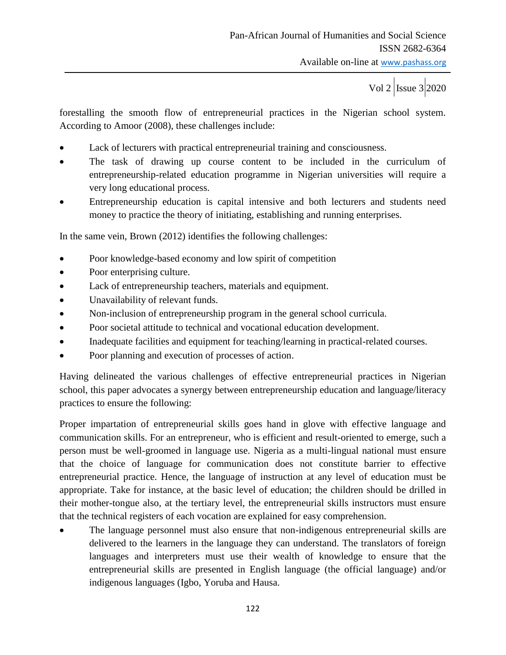forestalling the smooth flow of entrepreneurial practices in the Nigerian school system. According to Amoor (2008), these challenges include:

- Lack of lecturers with practical entrepreneurial training and consciousness.
- The task of drawing up course content to be included in the curriculum of entrepreneurship-related education programme in Nigerian universities will require a very long educational process.
- Entrepreneurship education is capital intensive and both lecturers and students need money to practice the theory of initiating, establishing and running enterprises.

In the same vein, Brown (2012) identifies the following challenges:

- Poor knowledge-based economy and low spirit of competition
- Poor enterprising culture.
- Lack of entrepreneurship teachers, materials and equipment.
- Unavailability of relevant funds.
- Non-inclusion of entrepreneurship program in the general school curricula.
- Poor societal attitude to technical and vocational education development.
- Inadequate facilities and equipment for teaching/learning in practical-related courses.
- Poor planning and execution of processes of action.

Having delineated the various challenges of effective entrepreneurial practices in Nigerian school, this paper advocates a synergy between entrepreneurship education and language/literacy practices to ensure the following:

Proper impartation of entrepreneurial skills goes hand in glove with effective language and communication skills. For an entrepreneur, who is efficient and result-oriented to emerge, such a person must be well-groomed in language use. Nigeria as a multi-lingual national must ensure that the choice of language for communication does not constitute barrier to effective entrepreneurial practice. Hence, the language of instruction at any level of education must be appropriate. Take for instance, at the basic level of education; the children should be drilled in their mother-tongue also, at the tertiary level, the entrepreneurial skills instructors must ensure that the technical registers of each vocation are explained for easy comprehension.

 The language personnel must also ensure that non-indigenous entrepreneurial skills are delivered to the learners in the language they can understand. The translators of foreign languages and interpreters must use their wealth of knowledge to ensure that the entrepreneurial skills are presented in English language (the official language) and/or indigenous languages (Igbo, Yoruba and Hausa.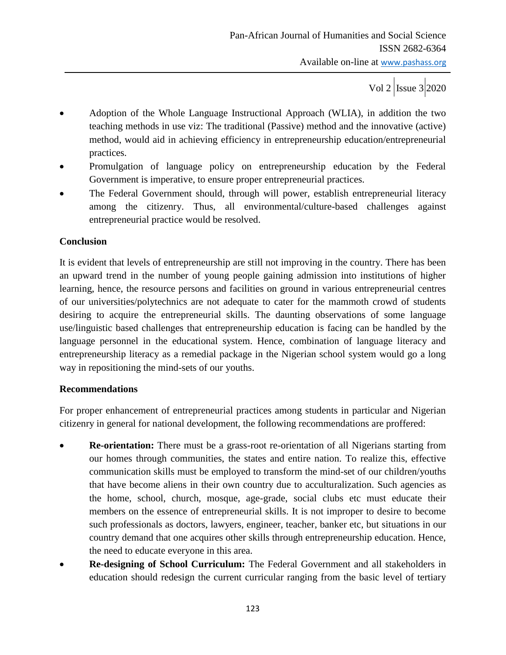- Adoption of the Whole Language Instructional Approach (WLIA), in addition the two teaching methods in use viz: The traditional (Passive) method and the innovative (active) method, would aid in achieving efficiency in entrepreneurship education/entrepreneurial practices.
- Promulgation of language policy on entrepreneurship education by the Federal Government is imperative, to ensure proper entrepreneurial practices.
- The Federal Government should, through will power, establish entrepreneurial literacy among the citizenry. Thus, all environmental/culture-based challenges against entrepreneurial practice would be resolved.

## **Conclusion**

It is evident that levels of entrepreneurship are still not improving in the country. There has been an upward trend in the number of young people gaining admission into institutions of higher learning, hence, the resource persons and facilities on ground in various entrepreneurial centres of our universities/polytechnics are not adequate to cater for the mammoth crowd of students desiring to acquire the entrepreneurial skills. The daunting observations of some language use/linguistic based challenges that entrepreneurship education is facing can be handled by the language personnel in the educational system. Hence, combination of language literacy and entrepreneurship literacy as a remedial package in the Nigerian school system would go a long way in repositioning the mind-sets of our youths.

### **Recommendations**

For proper enhancement of entrepreneurial practices among students in particular and Nigerian citizenry in general for national development, the following recommendations are proffered:

- **Re-orientation:** There must be a grass-root re-orientation of all Nigerians starting from our homes through communities, the states and entire nation. To realize this, effective communication skills must be employed to transform the mind-set of our children/youths that have become aliens in their own country due to acculturalization. Such agencies as the home, school, church, mosque, age-grade, social clubs etc must educate their members on the essence of entrepreneurial skills. It is not improper to desire to become such professionals as doctors, lawyers, engineer, teacher, banker etc, but situations in our country demand that one acquires other skills through entrepreneurship education. Hence, the need to educate everyone in this area.
- **Re-designing of School Curriculum:** The Federal Government and all stakeholders in education should redesign the current curricular ranging from the basic level of tertiary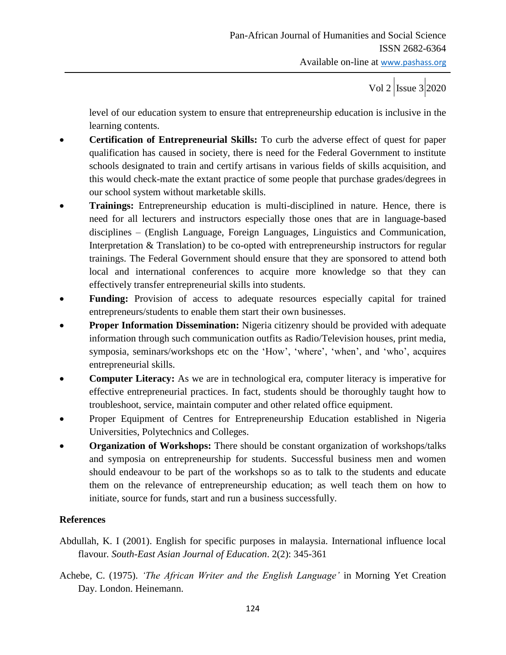level of our education system to ensure that entrepreneurship education is inclusive in the learning contents.

- **Certification of Entrepreneurial Skills:** To curb the adverse effect of quest for paper qualification has caused in society, there is need for the Federal Government to institute schools designated to train and certify artisans in various fields of skills acquisition, and this would check-mate the extant practice of some people that purchase grades/degrees in our school system without marketable skills.
- **Trainings:** Entrepreneurship education is multi-disciplined in nature. Hence, there is need for all lecturers and instructors especially those ones that are in language-based disciplines – (English Language, Foreign Languages, Linguistics and Communication, Interpretation & Translation) to be co-opted with entrepreneurship instructors for regular trainings. The Federal Government should ensure that they are sponsored to attend both local and international conferences to acquire more knowledge so that they can effectively transfer entrepreneurial skills into students.
- **Funding:** Provision of access to adequate resources especially capital for trained entrepreneurs/students to enable them start their own businesses.
- **Proper Information Dissemination:** Nigeria citizenry should be provided with adequate information through such communication outfits as Radio/Television houses, print media, symposia, seminars/workshops etc on the 'How', 'where', 'when', and 'who', acquires entrepreneurial skills.
- **Computer Literacy:** As we are in technological era, computer literacy is imperative for effective entrepreneurial practices. In fact, students should be thoroughly taught how to troubleshoot, service, maintain computer and other related office equipment.
- Proper Equipment of Centres for Entrepreneurship Education established in Nigeria Universities, Polytechnics and Colleges.
- **Organization of Workshops:** There should be constant organization of workshops/talks and symposia on entrepreneurship for students. Successful business men and women should endeavour to be part of the workshops so as to talk to the students and educate them on the relevance of entrepreneurship education; as well teach them on how to initiate, source for funds, start and run a business successfully.

# **References**

- Abdullah, K. I (2001). English for specific purposes in malaysia. International influence local flavour*. South-East Asian Journal of Education*. 2(2): 345-361
- Achebe, C. (1975). *'The African Writer and the English Language'* in Morning Yet Creation Day. London. Heinemann.